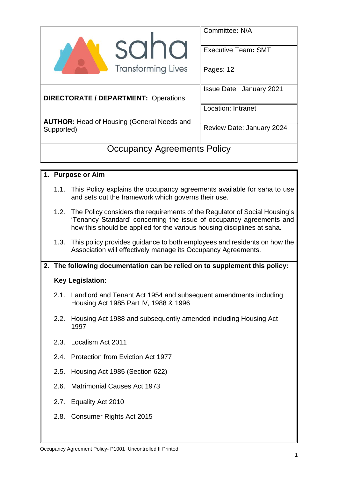| sand                                                            | Committee: N/A<br><b>Executive Team: SMT</b> |  |  |
|-----------------------------------------------------------------|----------------------------------------------|--|--|
| <b>Transforming Lives</b>                                       | Pages: 12                                    |  |  |
| <b>DIRECTORATE / DEPARTMENT: Operations</b>                     | <b>Issue Date: January 2021</b>              |  |  |
|                                                                 | <b>Location: Intranet</b>                    |  |  |
| <b>AUTHOR: Head of Housing (General Needs and</b><br>Supported) | Review Date: January 2024                    |  |  |
| <b>Occupancy Agreements Policy</b>                              |                                              |  |  |

### **1. Purpose or Aim**

- 1.1. This Policy explains the occupancy agreements available for saha to use and sets out the framework which governs their use.
- 1.2. The Policy considers the requirements of the Regulator of Social Housing's 'Tenancy Standard' concerning the issue of occupancy agreements and how this should be applied for the various housing disciplines at saha.
- 1.3. This policy provides guidance to both employees and residents on how the Association will effectively manage its Occupancy Agreements.

### **2. The following documentation can be relied on to supplement this policy:**

### **Key Legislation:**

- 2.1. Landlord and Tenant Act 1954 and subsequent amendments including Housing Act 1985 Part IV, 1988 & 1996
- 2.2. Housing Act 1988 and subsequently amended including Housing Act 1997
- 2.3. Localism Act 2011
- 2.4. Protection from Eviction Act 1977
- 2.5. Housing Act 1985 (Section 622)
- 2.6. Matrimonial Causes Act 1973
- 2.7. Equality Act 2010
- 2.8. Consumer Rights Act 2015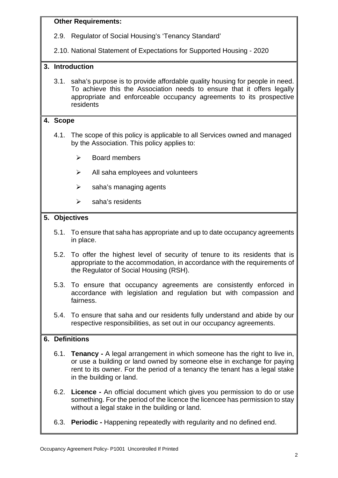#### **Other Requirements:**

2.9. Regulator of Social Housing's 'Tenancy Standard'

2.10. National Statement of Expectations for Supported Housing - 2020

#### **3. Introduction**

3.1. saha's purpose is to provide affordable quality housing for people in need. To achieve this the Association needs to ensure that it offers legally appropriate and enforceable occupancy agreements to its prospective residents

#### **4. Scope**

- 4.1. The scope of this policy is applicable to all Services owned and managed by the Association. This policy applies to:
	- $\triangleright$  Board members
	- $\triangleright$  All saha employees and volunteers
	- $\triangleright$  saha's managing agents
	- $\triangleright$  saha's residents

#### **5. Objectives**

- 5.1. To ensure that saha has appropriate and up to date occupancy agreements in place.
- 5.2. To offer the highest level of security of tenure to its residents that is appropriate to the accommodation, in accordance with the requirements of the Regulator of Social Housing (RSH).
- 5.3. To ensure that occupancy agreements are consistently enforced in accordance with legislation and regulation but with compassion and fairness.
- 5.4. To ensure that saha and our residents fully understand and abide by our respective responsibilities, as set out in our occupancy agreements.

### **6. Definitions**

- 6.1. **Tenancy** A legal arrangement in which someone has the right to live in, or use a building or land owned by someone else in exchange for paying rent to its owner. For the period of a tenancy the tenant has a legal stake in the building or land.
- 6.2. **Licence** An official document which gives you permission to do or use something. For the period of the licence the licencee has permission to stay without a legal stake in the building or land.
- 6.3. **Periodic** Happening repeatedly with regularity and no defined end.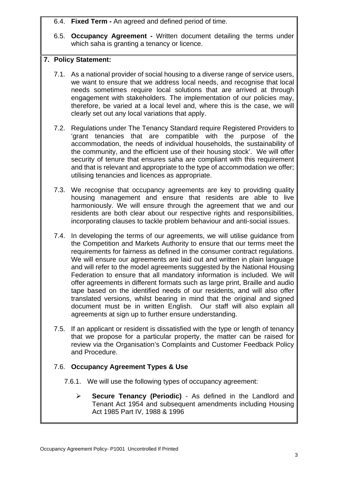6.4. **Fixed Term -** An agreed and defined period of time.

6.5. **Occupancy Agreement -** Written document detailing the terms under which saha is granting a tenancy or licence.

## **7. Policy Statement:**

- 7.1. As a national provider of social housing to a diverse range of service users, we want to ensure that we address local needs, and recognise that local needs sometimes require local solutions that are arrived at through engagement with stakeholders. The implementation of our policies may, therefore, be varied at a local level and, where this is the case, we will clearly set out any local variations that apply.
- 7.2. Regulations under The Tenancy Standard require Registered Providers to 'grant tenancies that are compatible with the purpose of the accommodation, the needs of individual households, the sustainability of the community, and the efficient use of their housing stock'. We will offer security of tenure that ensures saha are compliant with this requirement and that is relevant and appropriate to the type of accommodation we offer; utilising tenancies and licences as appropriate.
- 7.3. We recognise that occupancy agreements are key to providing quality housing management and ensure that residents are able to live harmoniously. We will ensure through the agreement that we and our residents are both clear about our respective rights and responsibilities, incorporating clauses to tackle problem behaviour and anti-social issues.
- 7.4. In developing the terms of our agreements, we will utilise guidance from the Competition and Markets Authority to ensure that our terms meet the requirements for fairness as defined in the consumer contract regulations. We will ensure our agreements are laid out and written in plain language and will refer to the model agreements suggested by the National Housing Federation to ensure that all mandatory information is included. We will offer agreements in different formats such as large print, Braille and audio tape based on the identified needs of our residents, and will also offer translated versions, whilst bearing in mind that the original and signed document must be in written English. Our staff will also explain all agreements at sign up to further ensure understanding.
- 7.5. If an applicant or resident is dissatisfied with the type or length of tenancy that we propose for a particular property, the matter can be raised for review via the Organisation's Complaints and Customer Feedback Policy and Procedure.

# 7.6. **Occupancy Agreement Types & Use**

- 7.6.1. We will use the following types of occupancy agreement:
	- **Secure Tenancy (Periodic)** As defined in the Landlord and Tenant Act 1954 and subsequent amendments including Housing Act 1985 Part IV, 1988 & 1996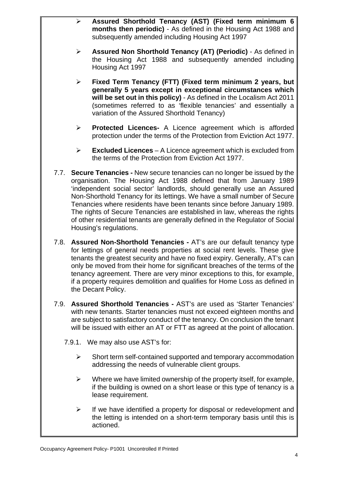- **Assured Shorthold Tenancy (AST) (Fixed term minimum 6 months then periodic)** - As defined in the Housing Act 1988 and subsequently amended including Housing Act 1997
- **Assured Non Shorthold Tenancy (AT) (Periodic)** As defined in the Housing Act 1988 and subsequently amended including Housing Act 1997
- **Fixed Term Tenancy (FTT) (Fixed term minimum 2 years, but generally 5 years except in exceptional circumstances which will be set out in this policy)** - As defined in the Localism Act 2011 (sometimes referred to as 'flexible tenancies' and essentially a variation of the Assured Shorthold Tenancy)
- **Protected Licences-** A Licence agreement which is afforded protection under the terms of the Protection from Eviction Act 1977.
- **Excluded Licences**  A Licence agreement which is excluded from the terms of the Protection from Eviction Act 1977.
- 7.7. **Secure Tenancies** New secure tenancies can no longer be issued by the organisation. The Housing Act 1988 defined that from January 1989 'independent social sector' landlords, should generally use an Assured Non-Shorthold Tenancy for its lettings. We have a small number of Secure Tenancies where residents have been tenants since before January 1989. The rights of Secure Tenancies are established in law, whereas the rights of other residential tenants are generally defined in the Regulator of Social Housing's regulations.
- 7.8. **Assured Non-Shorthold Tenancies** AT's are our default tenancy type for lettings of general needs properties at social rent levels. These give tenants the greatest security and have no fixed expiry. Generally, AT's can only be moved from their home for significant breaches of the terms of the tenancy agreement. There are very minor exceptions to this, for example, if a property requires demolition and qualifies for Home Loss as defined in the Decant Policy.
- 7.9. **Assured Shorthold Tenancies** AST's are used as 'Starter Tenancies' with new tenants. Starter tenancies must not exceed eighteen months and are subject to satisfactory conduct of the tenancy. On conclusion the tenant will be issued with either an AT or FTT as agreed at the point of allocation.
	- 7.9.1. We may also use AST's for:
		- $\triangleright$  Short term self-contained supported and temporary accommodation addressing the needs of vulnerable client groups.
		- $\triangleright$  Where we have limited ownership of the property itself, for example, if the building is owned on a short lease or this type of tenancy is a lease requirement.
		- $\triangleright$  If we have identified a property for disposal or redevelopment and the letting is intended on a short-term temporary basis until this is actioned.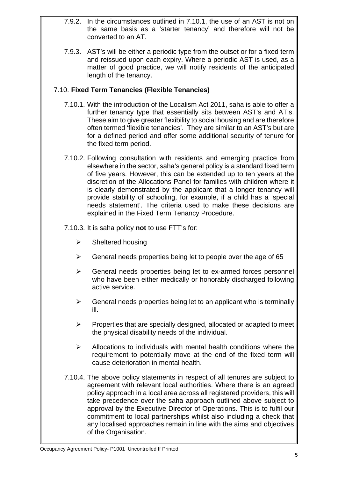- 7.9.2. In the circumstances outlined in 7.10.1, the use of an AST is not on the same basis as a 'starter tenancy' and therefore will not be converted to an AT.
- 7.9.3. AST's will be either a periodic type from the outset or for a fixed term and reissued upon each expiry. Where a periodic AST is used, as a matter of good practice, we will notify residents of the anticipated length of the tenancy.

## 7.10. **Fixed Term Tenancies (Flexible Tenancies)**

- 7.10.1. With the introduction of the Localism Act 2011, saha is able to offer a further tenancy type that essentially sits between AST's and AT's. These aim to give greater flexibility to social housing and are therefore often termed 'flexible tenancies'. They are similar to an AST's but are for a defined period and offer some additional security of tenure for the fixed term period.
- 7.10.2. Following consultation with residents and emerging practice from elsewhere in the sector, saha's general policy is a standard fixed term of five years. However, this can be extended up to ten years at the discretion of the Allocations Panel for families with children where it is clearly demonstrated by the applicant that a longer tenancy will provide stability of schooling, for example, if a child has a 'special needs statement'. The criteria used to make these decisions are explained in the Fixed Term Tenancy Procedure.
- 7.10.3. It is saha policy **not** to use FTT's for:
	- $\triangleright$  Sheltered housing
	- $\triangleright$  General needs properties being let to people over the age of 65
	- $\triangleright$  General needs properties being let to ex-armed forces personnel who have been either medically or honorably discharged following active service.
	- $\triangleright$  General needs properties being let to an applicant who is terminally ill.
	- $\triangleright$  Properties that are specially designed, allocated or adapted to meet the physical disability needs of the individual.
	- $\triangleright$  Allocations to individuals with mental health conditions where the requirement to potentially move at the end of the fixed term will cause deterioration in mental health.
- 7.10.4. The above policy statements in respect of all tenures are subject to agreement with relevant local authorities. Where there is an agreed policy approach in a local area across all registered providers, this will take precedence over the saha approach outlined above subject to approval by the Executive Director of Operations. This is to fulfil our commitment to local partnerships whilst also including a check that any localised approaches remain in line with the aims and objectives of the Organisation.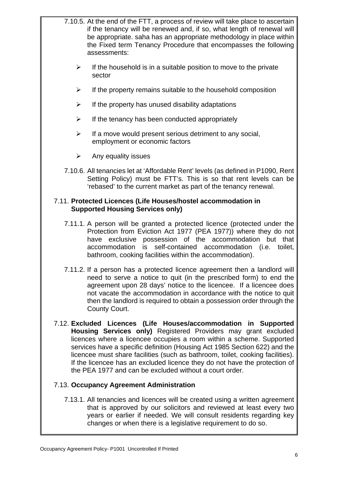- 7.10.5. At the end of the FTT, a process of review will take place to ascertain if the tenancy will be renewed and, if so, what length of renewal will be appropriate. saha has an appropriate methodology in place within the Fixed term Tenancy Procedure that encompasses the following assessments:
	- $\triangleright$  If the household is in a suitable position to move to the private sector
	- $\triangleright$  If the property remains suitable to the household composition
	- $\triangleright$  If the property has unused disability adaptations
	- $\triangleright$  If the tenancy has been conducted appropriately
	- $\triangleright$  If a move would present serious detriment to any social, employment or economic factors
	- $\triangleright$  Any equality issues
- 7.10.6. All tenancies let at 'Affordable Rent' levels (as defined in P1090, Rent Setting Policy) must be FTT's. This is so that rent levels can be 'rebased' to the current market as part of the tenancy renewal.

### 7.11. **Protected Licences (Life Houses/hostel accommodation in Supported Housing Services only)**

- 7.11.1. A person will be granted a protected licence (protected under the Protection from Eviction Act 1977 (PEA 1977)) where they do not have exclusive possession of the accommodation but that accommodation is self-contained accommodation (i.e. toilet, bathroom, cooking facilities within the accommodation).
- 7.11.2. If a person has a protected licence agreement then a landlord will need to serve a notice to quit (in the prescribed form) to end the agreement upon 28 days' notice to the licencee. If a licencee does not vacate the accommodation in accordance with the notice to quit then the landlord is required to obtain a possession order through the County Court.
- 7.12. **Excluded Licences (Life Houses/accommodation in Supported Housing Services only)** Registered Providers may grant excluded licences where a licencee occupies a room within a scheme. Supported services have a specific definition (Housing Act 1985 Section 622) and the licencee must share facilities (such as bathroom, toilet, cooking facilities). If the licencee has an excluded licence they do not have the protection of the PEA 1977 and can be excluded without a court order.

### 7.13. **Occupancy Agreement Administration**

7.13.1. All tenancies and licences will be created using a written agreement that is approved by our solicitors and reviewed at least every two years or earlier if needed. We will consult residents regarding key changes or when there is a legislative requirement to do so.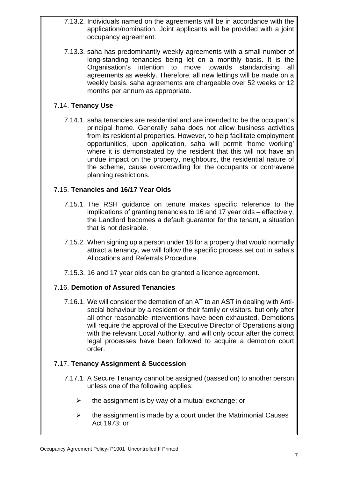- 7.13.2. Individuals named on the agreements will be in accordance with the application/nomination. Joint applicants will be provided with a joint occupancy agreement.
- 7.13.3. saha has predominantly weekly agreements with a small number of long-standing tenancies being let on a monthly basis. It is the Organisation's intention to move towards standardising all agreements as weekly. Therefore, all new lettings will be made on a weekly basis. saha agreements are chargeable over 52 weeks or 12 months per annum as appropriate.

## 7.14. **Tenancy Use**

7.14.1. saha tenancies are residential and are intended to be the occupant's principal home. Generally saha does not allow business activities from its residential properties. However, to help facilitate employment opportunities, upon application, saha will permit 'home working' where it is demonstrated by the resident that this will not have an undue impact on the property, neighbours, the residential nature of the scheme, cause overcrowding for the occupants or contravene planning restrictions.

### 7.15. **Tenancies and 16/17 Year Olds**

- 7.15.1. The RSH guidance on tenure makes specific reference to the implications of granting tenancies to 16 and 17 year olds – effectively, the Landlord becomes a default guarantor for the tenant, a situation that is not desirable.
- 7.15.2. When signing up a person under 18 for a property that would normally attract a tenancy, we will follow the specific process set out in saha's Allocations and Referrals Procedure.
- 7.15.3. 16 and 17 year olds can be granted a licence agreement.

### 7.16. **Demotion of Assured Tenancies**

7.16.1. We will consider the demotion of an AT to an AST in dealing with Antisocial behaviour by a resident or their family or visitors, but only after all other reasonable interventions have been exhausted. Demotions will require the approval of the Executive Director of Operations along with the relevant Local Authority, and will only occur after the correct legal processes have been followed to acquire a demotion court order.

### 7.17. **Tenancy Assignment & Succession**

- 7.17.1. A Secure Tenancy cannot be assigned (passed on) to another person unless one of the following applies:
	- $\triangleright$  the assignment is by way of a mutual exchange; or
	- $\triangleright$  the assignment is made by a court under the Matrimonial Causes Act 1973; or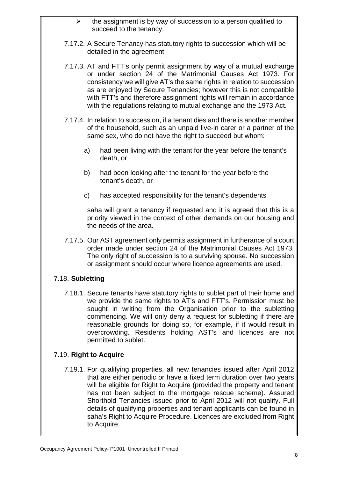- $\triangleright$  the assignment is by way of succession to a person qualified to succeed to the tenancy.
- 7.17.2. A Secure Tenancy has statutory rights to succession which will be detailed in the agreement.
- 7.17.3. AT and FTT's only permit assignment by way of a mutual exchange or under section 24 of the Matrimonial Causes Act 1973. For consistency we will give AT's the same rights in relation to succession as are enjoyed by Secure Tenancies; however this is not compatible with FTT's and therefore assignment rights will remain in accordance with the regulations relating to mutual exchange and the 1973 Act.
- 7.17.4. In relation to succession, if a tenant dies and there is another member of the household, such as an unpaid live-in carer or a partner of the same sex, who do not have the right to succeed but whom:
	- a) had been living with the tenant for the year before the tenant's death, or
	- b) had been looking after the tenant for the year before the tenant's death, or
	- c) has accepted responsibility for the tenant's dependents

saha will grant a tenancy if requested and it is agreed that this is a priority viewed in the context of other demands on our housing and the needs of the area.

7.17.5. Our AST agreement only permits assignment in furtherance of a court order made under section 24 of the Matrimonial Causes Act 1973. The only right of succession is to a surviving spouse. No succession or assignment should occur where licence agreements are used.

# 7.18. **Subletting**

7.18.1. Secure tenants have statutory rights to sublet part of their home and we provide the same rights to AT's and FTT's. Permission must be sought in writing from the Organisation prior to the subletting commencing. We will only deny a request for subletting if there are reasonable grounds for doing so, for example, if it would result in overcrowding. Residents holding AST's and licences are not permitted to sublet.

### 7.19. **Right to Acquire**

7.19.1. For qualifying properties, all new tenancies issued after April 2012 that are either periodic or have a fixed term duration over two years will be eligible for Right to Acquire (provided the property and tenant has not been subject to the mortgage rescue scheme). Assured Shorthold Tenancies issued prior to April 2012 will not qualify. Full details of qualifying properties and tenant applicants can be found in saha's Right to Acquire Procedure. Licences are excluded from Right to Acquire.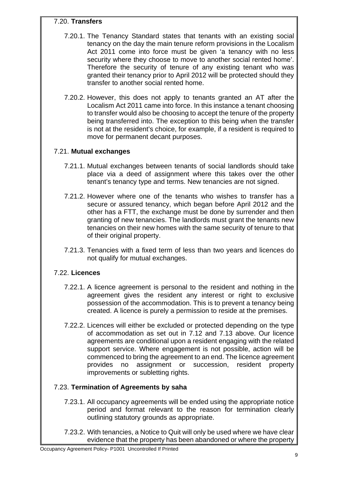## 7.20. **Transfers**

- 7.20.1. The Tenancy Standard states that tenants with an existing social tenancy on the day the main tenure reform provisions in the Localism Act 2011 come into force must be given 'a tenancy with no less security where they choose to move to another social rented home'. Therefore the security of tenure of any existing tenant who was granted their tenancy prior to April 2012 will be protected should they transfer to another social rented home.
- 7.20.2. However, this does not apply to tenants granted an AT after the Localism Act 2011 came into force. In this instance a tenant choosing to transfer would also be choosing to accept the tenure of the property being transferred into. The exception to this being when the transfer is not at the resident's choice, for example, if a resident is required to move for permanent decant purposes.

# 7.21. **Mutual exchanges**

- 7.21.1. Mutual exchanges between tenants of social landlords should take place via a deed of assignment where this takes over the other tenant's tenancy type and terms. New tenancies are not signed.
- 7.21.2. However where one of the tenants who wishes to transfer has a secure or assured tenancy, which began before April 2012 and the other has a FTT, the exchange must be done by surrender and then granting of new tenancies. The landlords must grant the tenants new tenancies on their new homes with the same security of tenure to that of their original property.
- 7.21.3. Tenancies with a fixed term of less than two years and licences do not qualify for mutual exchanges.

# 7.22. **Licences**

- 7.22.1. A licence agreement is personal to the resident and nothing in the agreement gives the resident any interest or right to exclusive possession of the accommodation. This is to prevent a tenancy being created. A licence is purely a permission to reside at the premises.
- 7.22.2. Licences will either be excluded or protected depending on the type of accommodation as set out in 7.12 and 7.13 above. Our licence agreements are conditional upon a resident engaging with the related support service. Where engagement is not possible, action will be commenced to bring the agreement to an end. The licence agreement provides no assignment or succession, resident property improvements or subletting rights.

# 7.23. **Termination of Agreements by saha**

- 7.23.1. All occupancy agreements will be ended using the appropriate notice period and format relevant to the reason for termination clearly outlining statutory grounds as appropriate.
- 7.23.2. With tenancies, a Notice to Quit will only be used where we have clear evidence that the property has been abandoned or where the property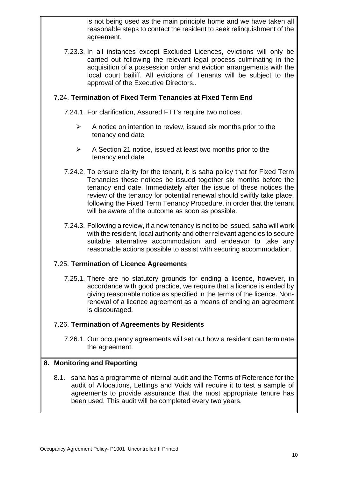is not being used as the main principle home and we have taken all reasonable steps to contact the resident to seek relinquishment of the agreement.

7.23.3. In all instances except Excluded Licences, evictions will only be carried out following the relevant legal process culminating in the acquisition of a possession order and eviction arrangements with the local court bailiff. All evictions of Tenants will be subject to the approval of the Executive Directors..

## 7.24. **Termination of Fixed Term Tenancies at Fixed Term End**

7.24.1. For clarification, Assured FTT's require two notices.

- $\triangleright$  A notice on intention to review, issued six months prior to the tenancy end date
- $\triangleright$  A Section 21 notice, issued at least two months prior to the tenancy end date
- 7.24.2. To ensure clarity for the tenant, it is saha policy that for Fixed Term Tenancies these notices be issued together six months before the tenancy end date. Immediately after the issue of these notices the review of the tenancy for potential renewal should swiftly take place, following the Fixed Term Tenancy Procedure, in order that the tenant will be aware of the outcome as soon as possible.
- 7.24.3. Following a review, if a new tenancy is not to be issued, saha will work with the resident, local authority and other relevant agencies to secure suitable alternative accommodation and endeavor to take any reasonable actions possible to assist with securing accommodation.

### 7.25. **Termination of Licence Agreements**

7.25.1. There are no statutory grounds for ending a licence, however, in accordance with good practice, we require that a licence is ended by giving reasonable notice as specified in the terms of the licence. Nonrenewal of a licence agreement as a means of ending an agreement is discouraged.

#### 7.26. **Termination of Agreements by Residents**

7.26.1. Our occupancy agreements will set out how a resident can terminate the agreement.

### **8. Monitoring and Reporting**

8.1. saha has a programme of internal audit and the Terms of Reference for the audit of Allocations, Lettings and Voids will require it to test a sample of agreements to provide assurance that the most appropriate tenure has been used. This audit will be completed every two years.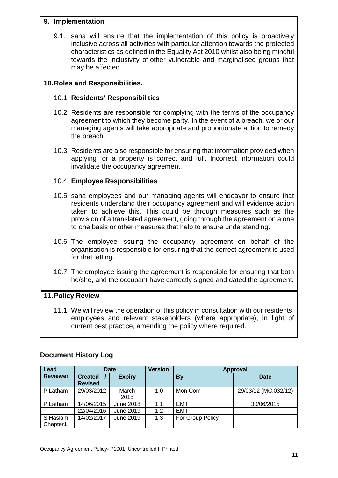#### **9. Implementation**

9.1. saha will ensure that the implementation of this policy is proactively inclusive across all activities with particular attention towards the protected characteristics as defined in the Equality Act 2010 whilst also being mindful towards the inclusivity of other vulnerable and marginalised groups that may be affected.

## **10. Roles and Responsibilities.**

### 10.1. **Residents' Responsibilities**

- 10.2. Residents are responsible for complying with the terms of the occupancy agreement to which they become party. In the event of a breach, we or our managing agents will take appropriate and proportionate action to remedy the breach.
- 10.3. Residents are also responsible for ensuring that information provided when applying for a property is correct and full. Incorrect information could invalidate the occupancy agreement.

## 10.4. **Employee Responsibilities**

- 10.5. saha employees and our managing agents will endeavor to ensure that residents understand their occupancy agreement and will evidence action taken to achieve this. This could be through measures such as the provision of a translated agreement, going through the agreement on a one to one basis or other measures that help to ensure understanding.
- 10.6. The employee issuing the occupancy agreement on behalf of the organisation is responsible for ensuring that the correct agreement is used for that letting.
- 10.7. The employee issuing the agreement is responsible for ensuring that both he/she, and the occupant have correctly signed and dated the agreement.

# **11. Policy Review**

11.1. We will review the operation of this policy in consultation with our residents, employees and relevant stakeholders (where appropriate), in light of current best practice, amending the policy where required.

| Lead                 | <b>Date</b>                      |               | <b>Version</b> | <b>Approval</b>  |                      |
|----------------------|----------------------------------|---------------|----------------|------------------|----------------------|
| <b>Reviewer</b>      | <b>Created</b><br><b>Revised</b> | <b>Expiry</b> |                | <b>By</b>        | <b>Date</b>          |
| P Latham             | 29/03/2012                       | March<br>2015 | 1.0            | Mon Com          | 29/03/12 (MC.032/12) |
| P Latham             | 14/06/2015                       | June 2018     | 1.1            | <b>EMT</b>       | 30/06/2015           |
|                      | 22/04/2016                       | June 2019     | 1.2            | <b>EMT</b>       |                      |
| S Haslam<br>Chapter1 | 14/02/2017                       | June 2019     | 1.3            | For Group Policy |                      |

# **Document History Log**